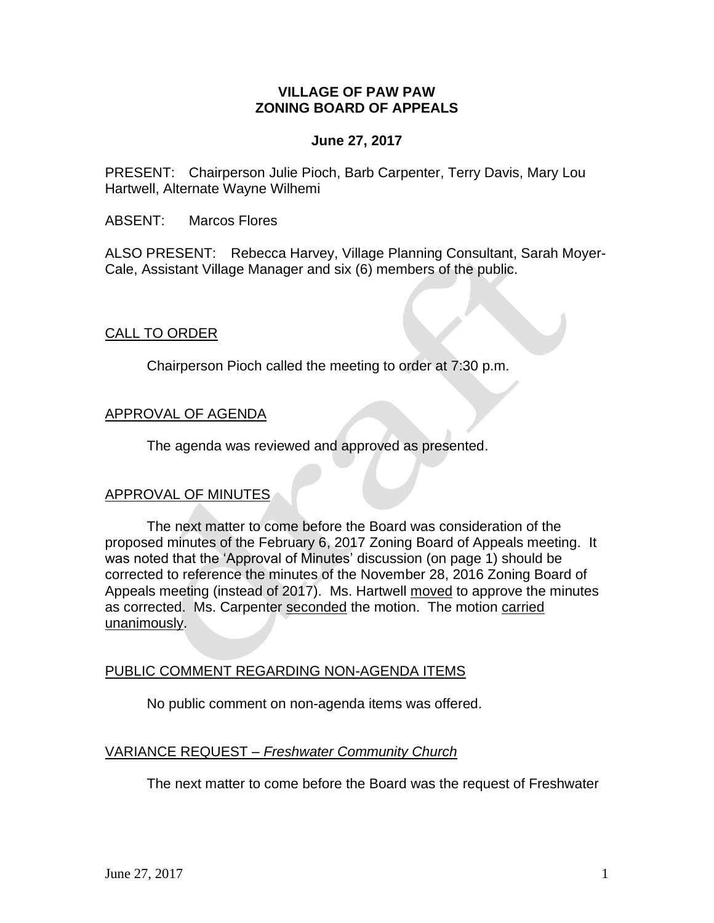## **VILLAGE OF PAW PAW ZONING BOARD OF APPEALS**

## **June 27, 2017**

PRESENT: Chairperson Julie Pioch, Barb Carpenter, Terry Davis, Mary Lou Hartwell, Alternate Wayne Wilhemi

ABSENT: Marcos Flores

ALSO PRESENT: Rebecca Harvey, Village Planning Consultant, Sarah Moyer-Cale, Assistant Village Manager and six (6) members of the public.

## CALL TO ORDER

Chairperson Pioch called the meeting to order at 7:30 p.m.

## APPROVAL OF AGENDA

The agenda was reviewed and approved as presented.

## APPROVAL OF MINUTES

The next matter to come before the Board was consideration of the proposed minutes of the February 6, 2017 Zoning Board of Appeals meeting. It was noted that the 'Approval of Minutes' discussion (on page 1) should be corrected to reference the minutes of the November 28, 2016 Zoning Board of Appeals meeting (instead of 2017). Ms. Hartwell moved to approve the minutes as corrected. Ms. Carpenter seconded the motion. The motion carried unanimously.

## PUBLIC COMMENT REGARDING NON-AGENDA ITEMS

No public comment on non-agenda items was offered.

# VARIANCE REQUEST *– Freshwater Community Church*

The next matter to come before the Board was the request of Freshwater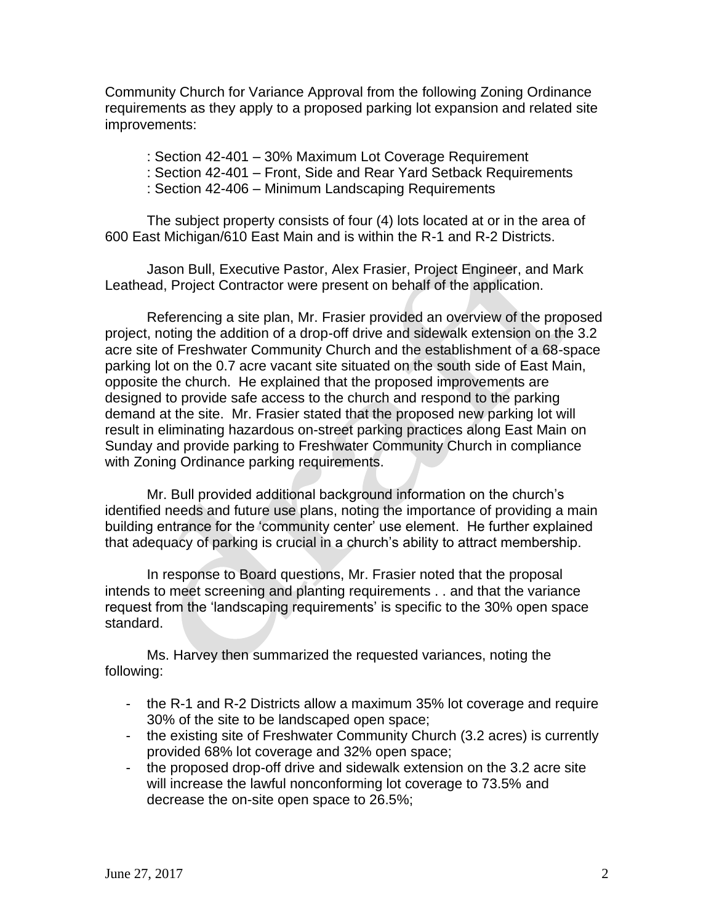Community Church for Variance Approval from the following Zoning Ordinance requirements as they apply to a proposed parking lot expansion and related site improvements:

: Section 42-401 – 30% Maximum Lot Coverage Requirement

- : Section 42-401 Front, Side and Rear Yard Setback Requirements
- : Section 42-406 Minimum Landscaping Requirements

The subject property consists of four (4) lots located at or in the area of 600 East Michigan/610 East Main and is within the R-1 and R-2 Districts.

Jason Bull, Executive Pastor, Alex Frasier, Project Engineer, and Mark Leathead, Project Contractor were present on behalf of the application.

Referencing a site plan, Mr. Frasier provided an overview of the proposed project, noting the addition of a drop-off drive and sidewalk extension on the 3.2 acre site of Freshwater Community Church and the establishment of a 68-space parking lot on the 0.7 acre vacant site situated on the south side of East Main, opposite the church. He explained that the proposed improvements are designed to provide safe access to the church and respond to the parking demand at the site. Mr. Frasier stated that the proposed new parking lot will result in eliminating hazardous on-street parking practices along East Main on Sunday and provide parking to Freshwater Community Church in compliance with Zoning Ordinance parking requirements.

Mr. Bull provided additional background information on the church's identified needs and future use plans, noting the importance of providing a main building entrance for the 'community center' use element. He further explained that adequacy of parking is crucial in a church's ability to attract membership.

In response to Board questions, Mr. Frasier noted that the proposal intends to meet screening and planting requirements . . and that the variance request from the 'landscaping requirements' is specific to the 30% open space standard.

Ms. Harvey then summarized the requested variances, noting the following:

- the R-1 and R-2 Districts allow a maximum 35% lot coverage and require 30% of the site to be landscaped open space;
- the existing site of Freshwater Community Church (3.2 acres) is currently provided 68% lot coverage and 32% open space;
- the proposed drop-off drive and sidewalk extension on the 3.2 acre site will increase the lawful nonconforming lot coverage to 73.5% and decrease the on-site open space to 26.5%;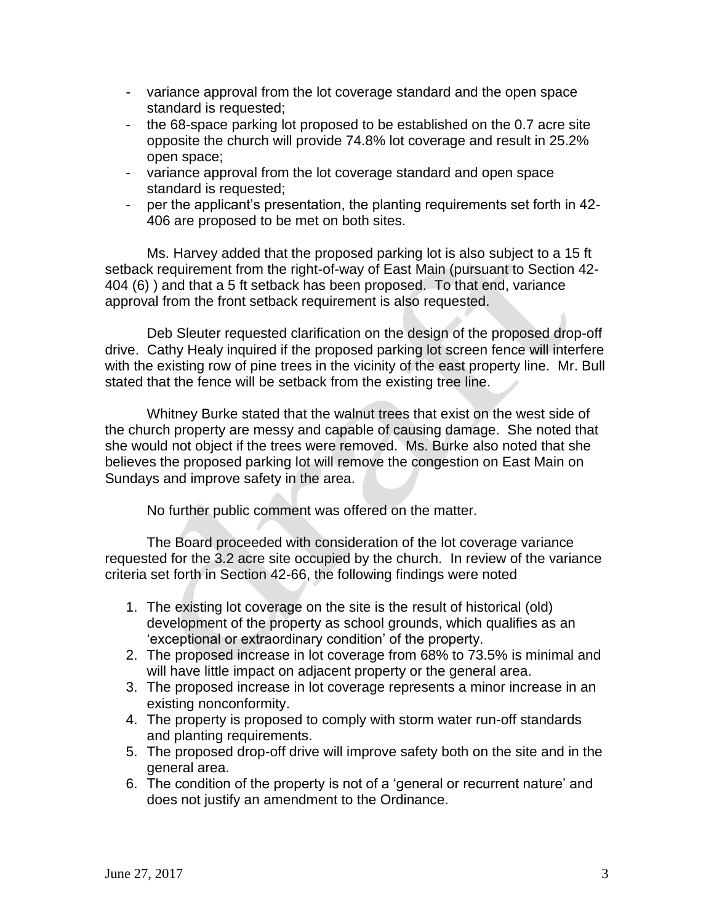- variance approval from the lot coverage standard and the open space standard is requested;
- the 68-space parking lot proposed to be established on the 0.7 acre site opposite the church will provide 74.8% lot coverage and result in 25.2% open space;
- variance approval from the lot coverage standard and open space standard is requested;
- per the applicant's presentation, the planting requirements set forth in 42- 406 are proposed to be met on both sites.

Ms. Harvey added that the proposed parking lot is also subject to a 15 ft setback requirement from the right-of-way of East Main (pursuant to Section 42- 404 (6) ) and that a 5 ft setback has been proposed. To that end, variance approval from the front setback requirement is also requested.

Deb Sleuter requested clarification on the design of the proposed drop-off drive. Cathy Healy inquired if the proposed parking lot screen fence will interfere with the existing row of pine trees in the vicinity of the east property line. Mr. Bull stated that the fence will be setback from the existing tree line.

Whitney Burke stated that the walnut trees that exist on the west side of the church property are messy and capable of causing damage. She noted that she would not object if the trees were removed. Ms. Burke also noted that she believes the proposed parking lot will remove the congestion on East Main on Sundays and improve safety in the area.

No further public comment was offered on the matter.

The Board proceeded with consideration of the lot coverage variance requested for the 3.2 acre site occupied by the church. In review of the variance criteria set forth in Section 42-66, the following findings were noted

- 1. The existing lot coverage on the site is the result of historical (old) development of the property as school grounds, which qualifies as an 'exceptional or extraordinary condition' of the property.
- 2. The proposed increase in lot coverage from 68% to 73.5% is minimal and will have little impact on adjacent property or the general area.
- 3. The proposed increase in lot coverage represents a minor increase in an existing nonconformity.
- 4. The property is proposed to comply with storm water run-off standards and planting requirements.
- 5. The proposed drop-off drive will improve safety both on the site and in the general area.
- 6. The condition of the property is not of a 'general or recurrent nature' and does not justify an amendment to the Ordinance.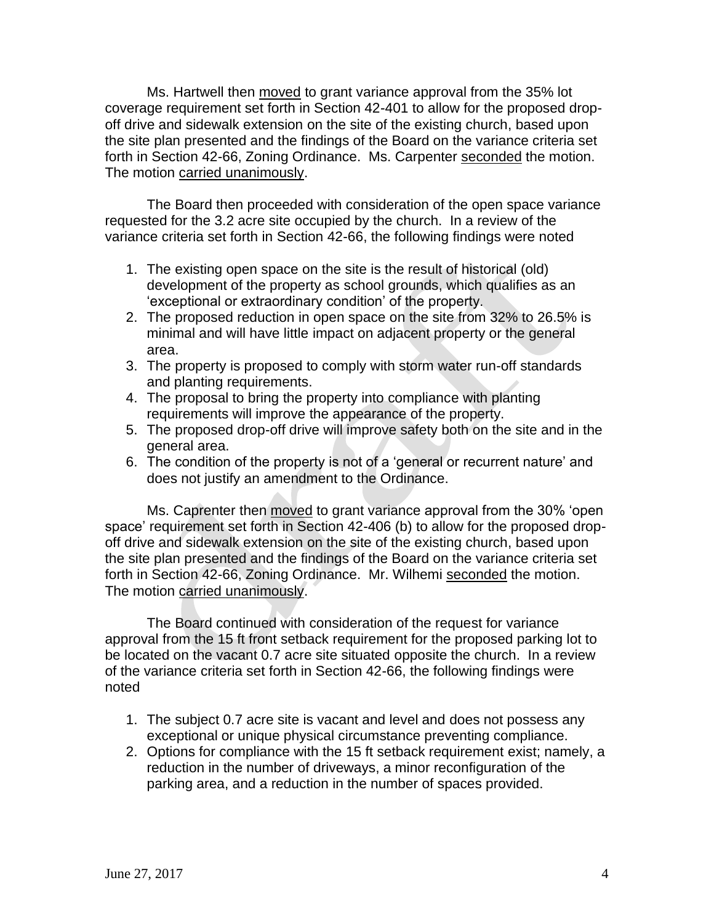Ms. Hartwell then moved to grant variance approval from the 35% lot coverage requirement set forth in Section 42-401 to allow for the proposed dropoff drive and sidewalk extension on the site of the existing church, based upon the site plan presented and the findings of the Board on the variance criteria set forth in Section 42-66, Zoning Ordinance. Ms. Carpenter seconded the motion. The motion carried unanimously.

The Board then proceeded with consideration of the open space variance requested for the 3.2 acre site occupied by the church. In a review of the variance criteria set forth in Section 42-66, the following findings were noted

- 1. The existing open space on the site is the result of historical (old) development of the property as school grounds, which qualifies as an 'exceptional or extraordinary condition' of the property.
- 2. The proposed reduction in open space on the site from 32% to 26.5% is minimal and will have little impact on adjacent property or the general area.
- 3. The property is proposed to comply with storm water run-off standards and planting requirements.
- 4. The proposal to bring the property into compliance with planting requirements will improve the appearance of the property.
- 5. The proposed drop-off drive will improve safety both on the site and in the general area.
- 6. The condition of the property is not of a 'general or recurrent nature' and does not justify an amendment to the Ordinance.

Ms. Caprenter then moved to grant variance approval from the 30% 'open space' requirement set forth in Section 42-406 (b) to allow for the proposed dropoff drive and sidewalk extension on the site of the existing church, based upon the site plan presented and the findings of the Board on the variance criteria set forth in Section 42-66, Zoning Ordinance. Mr. Wilhemi seconded the motion. The motion carried unanimously.

The Board continued with consideration of the request for variance approval from the 15 ft front setback requirement for the proposed parking lot to be located on the vacant 0.7 acre site situated opposite the church. In a review of the variance criteria set forth in Section 42-66, the following findings were noted

- 1. The subject 0.7 acre site is vacant and level and does not possess any exceptional or unique physical circumstance preventing compliance.
- 2. Options for compliance with the 15 ft setback requirement exist; namely, a reduction in the number of driveways, a minor reconfiguration of the parking area, and a reduction in the number of spaces provided.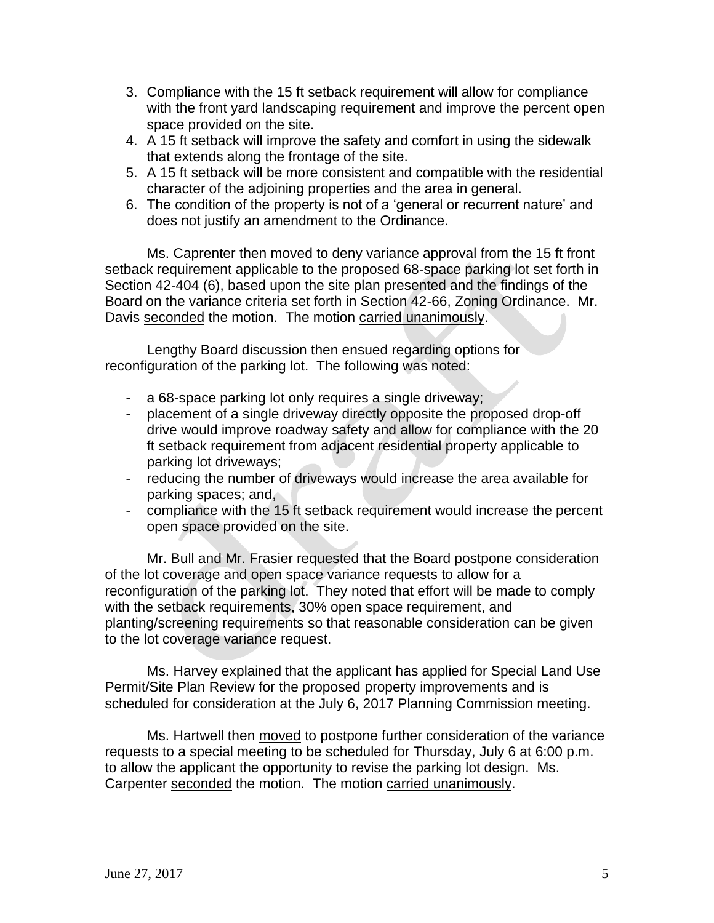- 3. Compliance with the 15 ft setback requirement will allow for compliance with the front yard landscaping requirement and improve the percent open space provided on the site.
- 4. A 15 ft setback will improve the safety and comfort in using the sidewalk that extends along the frontage of the site.
- 5. A 15 ft setback will be more consistent and compatible with the residential character of the adjoining properties and the area in general.
- 6. The condition of the property is not of a 'general or recurrent nature' and does not justify an amendment to the Ordinance.

Ms. Caprenter then moved to deny variance approval from the 15 ft front setback requirement applicable to the proposed 68-space parking lot set forth in Section 42-404 (6), based upon the site plan presented and the findings of the Board on the variance criteria set forth in Section 42-66, Zoning Ordinance. Mr. Davis seconded the motion. The motion carried unanimously.

Lengthy Board discussion then ensued regarding options for reconfiguration of the parking lot. The following was noted:

- a 68-space parking lot only requires a single driveway;
- placement of a single driveway directly opposite the proposed drop-off drive would improve roadway safety and allow for compliance with the 20 ft setback requirement from adjacent residential property applicable to parking lot driveways;
- reducing the number of driveways would increase the area available for parking spaces; and,
- compliance with the 15 ft setback requirement would increase the percent open space provided on the site.

Mr. Bull and Mr. Frasier requested that the Board postpone consideration of the lot coverage and open space variance requests to allow for a reconfiguration of the parking lot. They noted that effort will be made to comply with the setback requirements, 30% open space requirement, and planting/screening requirements so that reasonable consideration can be given to the lot coverage variance request.

Ms. Harvey explained that the applicant has applied for Special Land Use Permit/Site Plan Review for the proposed property improvements and is scheduled for consideration at the July 6, 2017 Planning Commission meeting.

Ms. Hartwell then moved to postpone further consideration of the variance requests to a special meeting to be scheduled for Thursday, July 6 at 6:00 p.m. to allow the applicant the opportunity to revise the parking lot design. Ms. Carpenter seconded the motion. The motion carried unanimously.